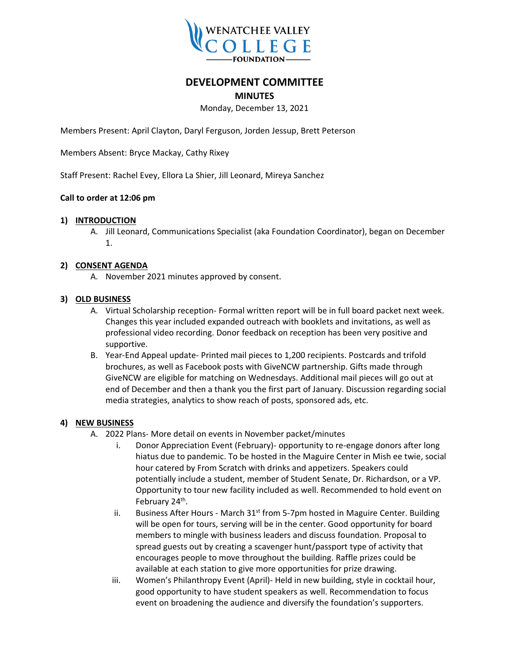

# **DEVELOPMENT COMMITTEE**

# **MINUTES**

# Monday, December 13, 2021

Members Present: April Clayton, Daryl Ferguson, Jorden Jessup, Brett Peterson

Members Absent: Bryce Mackay, Cathy Rixey

Staff Present: Rachel Evey, Ellora La Shier, Jill Leonard, Mireya Sanchez

## **Call to order at 12:06 pm**

#### **1) INTRODUCTION**

A. Jill Leonard, Communications Specialist (aka Foundation Coordinator), began on December 1.

## **2) CONSENT AGENDA**

A. November 2021 minutes approved by consent.

#### **3) OLD BUSINESS**

- A. Virtual Scholarship reception- Formal written report will be in full board packet next week. Changes this year included expanded outreach with booklets and invitations, as well as professional video recording. Donor feedback on reception has been very positive and supportive.
- B. Year-End Appeal update- Printed mail pieces to 1,200 recipients. Postcards and trifold brochures, as well as Facebook posts with GiveNCW partnership. Gifts made through GiveNCW are eligible for matching on Wednesdays. Additional mail pieces will go out at end of December and then a thank you the first part of January. Discussion regarding social media strategies, analytics to show reach of posts, sponsored ads, etc.

#### **4) NEW BUSINESS**

- A. 2022 Plans- More detail on events in November packet/minutes
	- i. Donor Appreciation Event (February)- opportunity to re-engage donors after long hiatus due to pandemic. To be hosted in the Maguire Center in Mish ee twie, social hour catered by From Scratch with drinks and appetizers. Speakers could potentially include a student, member of Student Senate, Dr. Richardson, or a VP. Opportunity to tour new facility included as well. Recommended to hold event on February 24<sup>th</sup>.
	- ii. Business After Hours March  $31<sup>st</sup>$  from 5-7pm hosted in Maguire Center. Building will be open for tours, serving will be in the center. Good opportunity for board members to mingle with business leaders and discuss foundation. Proposal to spread guests out by creating a scavenger hunt/passport type of activity that encourages people to move throughout the building. Raffle prizes could be available at each station to give more opportunities for prize drawing.
	- iii. Women's Philanthropy Event (April)- Held in new building, style in cocktail hour, good opportunity to have student speakers as well. Recommendation to focus event on broadening the audience and diversify the foundation's supporters.